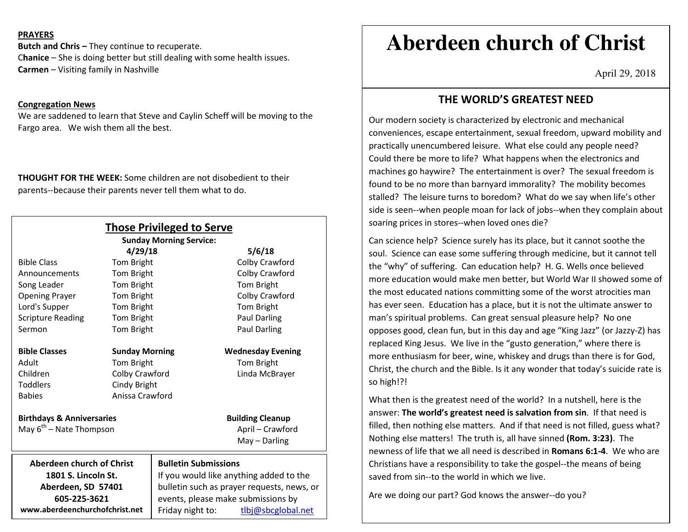### **PRAYERS**

**Butch and Chris –** They continue to recuperate. C**hanice** – She is doing better but still dealing with some health issues. **Carmen** – Visiting family in Nashville

### **Congregation News**

 We are saddened to learn that Steve and Caylin Scheff will be moving to the Fargo area. We wish them all the best.

**THOUGHT FOR THE WEEK:** Some children are not disobedient to their parents--because their parents never tell them what to do.

|                                      | <b>Those Privileged to Serve</b>                                                 |                                |                         |                          |
|--------------------------------------|----------------------------------------------------------------------------------|--------------------------------|-------------------------|--------------------------|
|                                      |                                                                                  | <b>Sunday Morning Service:</b> |                         |                          |
|                                      | 4/29/18                                                                          |                                |                         | 5/6/18                   |
| <b>Bible Class</b>                   | Tom Bright                                                                       |                                |                         | Colby Crawford           |
| Announcements                        | Tom Bright                                                                       |                                |                         | Colby Crawford           |
| Song Leader                          | Tom Bright                                                                       |                                |                         | Tom Bright               |
| <b>Opening Prayer</b>                | Tom Bright                                                                       |                                |                         | Colby Crawford           |
| Lord's Supper                        | Tom Bright                                                                       |                                |                         | Tom Bright               |
| <b>Scripture Reading</b>             | Tom Bright                                                                       |                                |                         | <b>Paul Darling</b>      |
| Sermon                               | Tom Bright                                                                       |                                |                         | <b>Paul Darling</b>      |
| <b>Bible Classes</b>                 | <b>Sunday Morning</b>                                                            |                                |                         | <b>Wednesday Evening</b> |
| Adult                                | Tom Bright                                                                       |                                |                         | Tom Bright               |
| Children                             | Colby Crawford                                                                   |                                |                         | Linda McBrayer           |
| <b>Toddlers</b>                      | Cindy Bright                                                                     |                                |                         |                          |
| <b>Babies</b>                        | Anissa Crawford                                                                  |                                |                         |                          |
| <b>Birthdays &amp; Anniversaries</b> |                                                                                  |                                | <b>Building Cleanup</b> |                          |
| May $6^{th}$ – Nate Thompson         |                                                                                  |                                | April - Crawford        |                          |
|                                      |                                                                                  |                                |                         | $May - Darling$          |
| <b>Aberdeen church of Christ</b>     |                                                                                  | <b>Bulletin Submissions</b>    |                         |                          |
| 1801 S. Lincoln St.                  | If you would like anything added to the                                          |                                |                         |                          |
| Aberdeen, SD 57401                   | bulletin such as prayer requests, news, or<br>events, please make submissions by |                                |                         |                          |
| 605-225-3621                         |                                                                                  |                                |                         |                          |
| www.aberdeenchurchofchrist.net       | Friday night to:                                                                 |                                | tlbj@sbcglobal.net      |                          |

# **Aberdeen church of Christ**

April 29, 2018

### **THE WORLD'S GREATEST NEED**

Our modern society is characterized by electronic and mechanical conveniences, escape entertainment, sexual freedom, upward mobility and practically unencumbered leisure. What else could any people need? Could there be more to life? What happens when the electronics and machines go haywire? The entertainment is over? The sexual freedom is found to be no more than barnyard immorality? The mobility becomes stalled? The leisure turns to boredom? What do we say when life's other side is seen--when people moan for lack of jobs--when they complain about soaring prices in stores--when loved ones die?

Can science help? Science surely has its place, but it cannot soothe the soul. Science can ease some suffering through medicine, but it cannot tell the "why" of suffering. Can education help? H. G. Wells once believed more education would make men better, but World War II showed some of the most educated nations committing some of the worst atrocities man has ever seen. Education has a place, but it is not the ultimate answer to man's spiritual problems. Can great sensual pleasure help? No one opposes good, clean fun, but in this day and age "King Jazz" (or Jazzy-Z) has replaced King Jesus. We live in the "gusto generation," where there is more enthusiasm for beer, wine, whiskey and drugs than there is for God, Christ, the church and the Bible. Is it any wonder that today's suicide rate is so high!?!

What then is the greatest need of the world? In a nutshell, here is the answer: **The world's greatest need is salvation from sin**. If that need is filled, then nothing else matters. And if that need is not filled, guess what? Nothing else matters! The truth is, all have sinned **(Rom. 3:23)**. The newness of life that we all need is described in **Romans 6:1-4**. We who are Christians have a responsibility to take the gospel--the means of being saved from sin--to the world in which we live.

Are we doing our part? God knows the answer--do you?